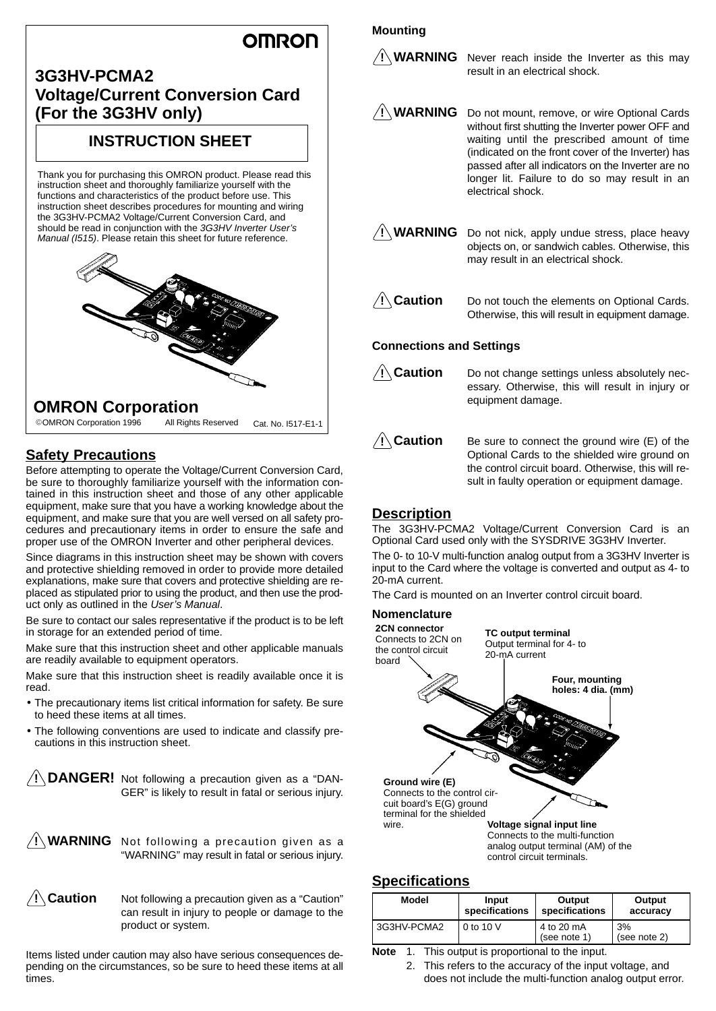# **OMRON**

# **3G3HV-PCMA2 Voltage/Current Conversion Card (For the 3G3HV only)**

# **INSTRUCTION SHEET**

Thank you for purchasing this OMRON product. Please read this instruction sheet and thoroughly familiarize yourself with the functions and characteristics of the product before use. This instruction sheet describes procedures for mounting and wiring the 3G3HV-PCMA2 Voltage/Current Conversion Card, and should be read in conjunction with the 3G3HV Inverter User's Manual (I515). Please retain this sheet for future reference.



# **OMRON Corporation**

OMRON Corporation 1996 All Rights Reserved Cat. No. I517-E1-1

# **Safety Precautions**

Before attempting to operate the Voltage/Current Conversion Card, be sure to thoroughly familiarize yourself with the information contained in this instruction sheet and those of any other applicable equipment, make sure that you have a working knowledge about the equipment, and make sure that you are well versed on all safety procedures and precautionary items in order to ensure the safe and proper use of the OMRON Inverter and other peripheral devices.

Since diagrams in this instruction sheet may be shown with covers and protective shielding removed in order to provide more detailed explanations, make sure that covers and protective shielding are replaced as stipulated prior to using the product, and then use the product only as outlined in the User's Manual.

Be sure to contact our sales representative if the product is to be left in storage for an extended period of time.

Make sure that this instruction sheet and other applicable manuals are readily available to equipment operators.

Make sure that this instruction sheet is readily available once it is read.

- The precautionary items list critical information for safety. Be sure to heed these items at all times.
- The following conventions are used to indicate and classify precautions in this instruction sheet.

**! DANGER!** Not following a precaution given as a "DAN-GER" is likely to result in fatal or serious injury.





Not following a precaution given as a "Caution" can result in injury to people or damage to the product or system.

Items listed under caution may also have serious consequences depending on the circumstances, so be sure to heed these items at all times.

#### **Mounting**

**! WARNING** Never reach inside the Inverter as this may result in an electrical shock.

**! WARNING** Do not mount, remove, or wire Optional Cards without first shutting the Inverter power OFF and waiting until the prescribed amount of time (indicated on the front cover of the Inverter) has passed after all indicators on the Inverter are no longer lit. Failure to do so may result in an electrical shock.

**! WARNING** Do not nick, apply undue stress, place heavy objects on, or sandwich cables. Otherwise, this may result in an electrical shock.

**∕!∖Caution** 

Do not touch the elements on Optional Cards. Otherwise, this will result in equipment damage.

#### **Connections and Settings**

∕!∖Caution

Do not change settings unless absolutely necessary. Otherwise, this will result in injury or equipment damage.

**/∫∖Caution** Be sure to connect the ground wire (E) of the Optional Cards to the shielded wire ground on the control circuit board. Otherwise, this will result in faulty operation or equipment damage.

# **Description**

The 3G3HV-PCMA2 Voltage/Current Conversion Card is an Optional Card used only with the SYSDRIVE 3G3HV Inverter.

The 0- to 10-V multi-function analog output from a 3G3HV Inverter is input to the Card where the voltage is converted and output as 4- to 20-mA current.

The Card is mounted on an Inverter control circuit board.

#### **Nomenclature**



analog output terminal (AM) of the control circuit terminals.

## **Specifications**

| <b>Model</b> | Input          | Output                     | Output             |
|--------------|----------------|----------------------------|--------------------|
|              | specifications | specifications             | accuracy           |
| 3G3HV-PCMA2  | 0 to 10 V      | 4 to 20 mA<br>(see note 1) | 3%<br>(see note 2) |

**Note** 1. This output is proportional to the input.

2. This refers to the accuracy of the input voltage, and does not include the multi-function analog output error.